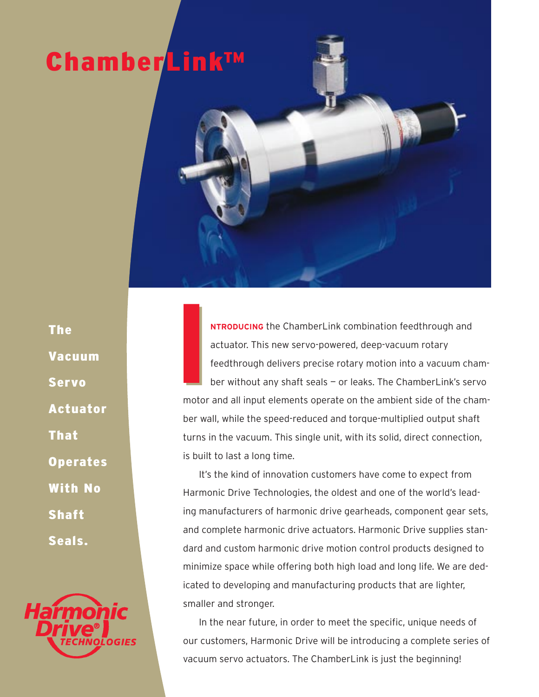# ChamberLink™

The Vacuum Servo Actuator That **Operates** With No Shaft Seals.



**I**<br>I<br>moto **NTRODUCING** the ChamberLink combination feedthrough and actuator. This new servo-powered, deep-vacuum rotary feedthrough delivers precise rotary motion into a vacuum chamber without any shaft seals — or leaks. The ChamberLink's servo motor and all input elements operate on the ambient side of the chamber wall, while the speed-reduced and torque-multiplied output shaft turns in the vacuum. This single unit, with its solid, direct connection, is built to last a long time. **I**<br>I<br>moto

It's the kind of innovation customers have come to expect from Harmonic Drive Technologies, the oldest and one of the world's leading manufacturers of harmonic drive gearheads, component gear sets, and complete harmonic drive actuators. Harmonic Drive supplies standard and custom harmonic drive motion control products designed to minimize space while offering both high load and long life. We are dedicated to developing and manufacturing products that are lighter, smaller and stronger.

In the near future, in order to meet the specific, unique needs of our customers, Harmonic Drive will be introducing a complete series of vacuum servo actuators. The ChamberLink is just the beginning!